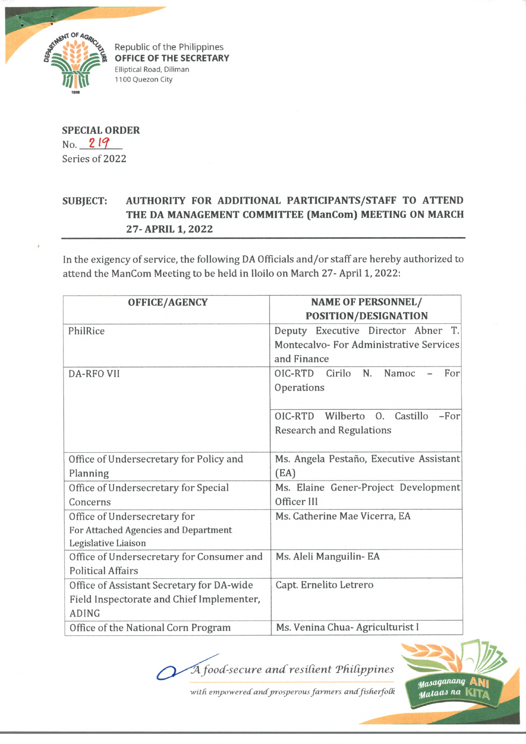

Republic of the Philippines **OFFICE OF THE SECRETARY** Elliptical Road, Diliman 1100 Quezon City

**SPECIAL ORDER** No. 2 *19* Series of 2022

## **SUBJECT: AUTHORITY FOR ADDITIONAL PARTICIPANTS/STAFF TO ATTEND THE DA MANAGEMENT COMMITTEE (ManCom) MEETING ON MARCH 27- APRIL 1, 2022**

In the exigency of service, the following DA Officials and/or staff are hereby authorized to attend the ManCom Meeting to be held in Iloilo on March 27- April 1, 2022:

| <b>OFFICE/AGENCY</b>                      | <b>NAME OF PERSONNEL/</b>                 |
|-------------------------------------------|-------------------------------------------|
|                                           | POSITION/DESIGNATION                      |
| PhilRice                                  | Executive Director Abner T.<br>Deputy     |
|                                           | Montecalvo-For Administrative Services    |
|                                           | and Finance                               |
| <b>DA-RFO VII</b>                         | N.<br>OIC-RTD<br>Cirilo<br>Namoc<br>For   |
|                                           | Operations                                |
|                                           |                                           |
|                                           | Wilberto O. Castillo<br>OIC-RTD<br>$-For$ |
|                                           | <b>Research and Regulations</b>           |
|                                           |                                           |
| Office of Undersecretary for Policy and   | Ms. Angela Pestaño, Executive Assistant   |
| Planning                                  | (EA)                                      |
| Office of Undersecretary for Special      | Ms. Elaine Gener-Project Development      |
| Concerns                                  | Officer III                               |
| Office of Undersecretary for              | Ms. Catherine Mae Vicerra, EA             |
| For Attached Agencies and Department      |                                           |
| Legislative Liaison                       |                                           |
| Office of Undersecretary for Consumer and | Ms. Aleli Manguilin-EA                    |
| <b>Political Affairs</b>                  |                                           |
| Office of Assistant Secretary for DA-wide | Capt. Ernelito Letrero                    |
| Field Inspectorate and Chief Implementer, |                                           |
| <b>ADING</b>                              |                                           |
| Office of the National Corn Program       | Ms. Venina Chua- Agriculturist I          |

 $\widetilde{A}$  food-secure and resilient Philippines



with empowered and prosperous farmers and fisherfolk